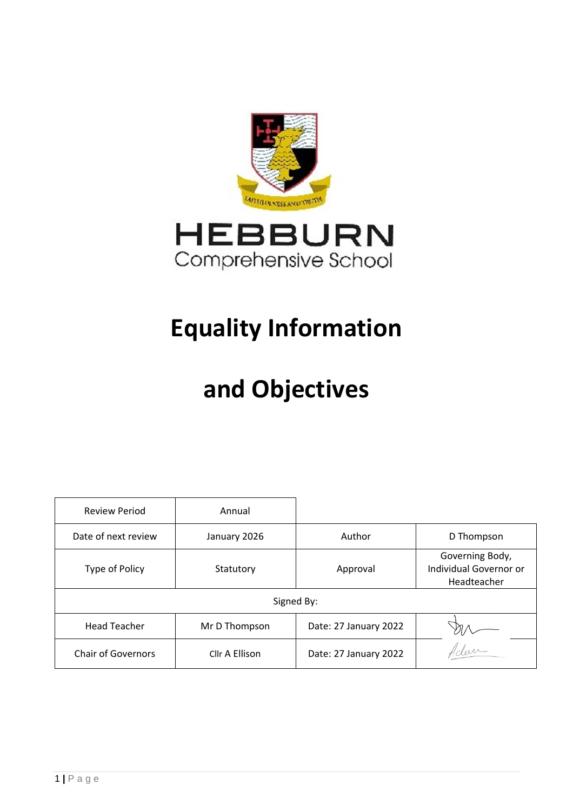

## **Equality Information**

# **and Objectives**

| <b>Review Period</b>      | Annual         |                       |                                                          |
|---------------------------|----------------|-----------------------|----------------------------------------------------------|
| Date of next review       | January 2026   | Author                | D Thompson                                               |
| Type of Policy            | Statutory      | Approval              | Governing Body,<br>Individual Governor or<br>Headteacher |
| Signed By:                |                |                       |                                                          |
| <b>Head Teacher</b>       | Mr D Thompson  | Date: 27 January 2022 |                                                          |
| <b>Chair of Governors</b> | Cllr A Ellison | Date: 27 January 2022 | "dure                                                    |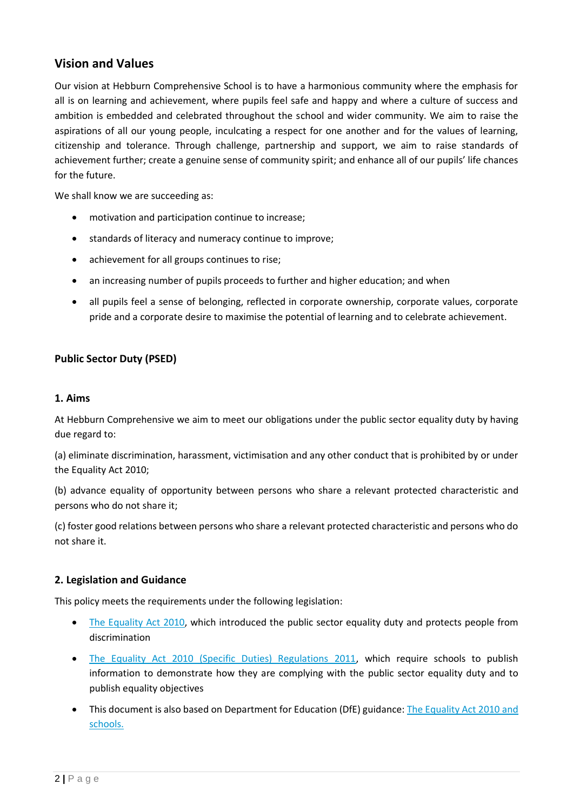### **Vision and Values**

Our vision at Hebburn Comprehensive School is to have a harmonious community where the emphasis for all is on learning and achievement, where pupils feel safe and happy and where a culture of success and ambition is embedded and celebrated throughout the school and wider community. We aim to raise the aspirations of all our young people, inculcating a respect for one another and for the values of learning, citizenship and tolerance. Through challenge, partnership and support, we aim to raise standards of achievement further; create a genuine sense of community spirit; and enhance all of our pupils' life chances for the future.

We shall know we are succeeding as:

- motivation and participation continue to increase;
- standards of literacy and numeracy continue to improve;
- achievement for all groups continues to rise;
- an increasing number of pupils proceeds to further and higher education; and when
- all pupils feel a sense of belonging, reflected in corporate ownership, corporate values, corporate pride and a corporate desire to maximise the potential of learning and to celebrate achievement.

#### **Public Sector Duty (PSED)**

#### **1. Aims**

At Hebburn Comprehensive we aim to meet our obligations under the public sector equality duty by having due regard to:

(a) eliminate discrimination, harassment, victimisation and any other conduct that is prohibited by or under the Equality Act 2010;

(b) advance equality of opportunity between persons who share a relevant protected characteristic and persons who do not share it;

(c) foster good relations between persons who share a relevant protected characteristic and persons who do not share it.

#### **2. Legislation and Guidance**

This policy meets the requirements under the following legislation:

- [The Equality Act 2010,](http://www.legislation.gov.uk/ukpga/2010/15/contents) which introduced the public sector equality duty and protects people from discrimination
- [The Equality Act 2010 \(Specific Duties\) Regulations 2011,](http://www.legislation.gov.uk/uksi/2011/2260/contents/made) which require schools to publish information to demonstrate how they are complying with the public sector equality duty and to publish equality objectives
- This document is also based on Department for Education (DfE) guidance: [The Equality Act 2010 and](https://www.gov.uk/government/uploads/system/uploads/attachment_data/file/315587/Equality_Act_Advice_Final.pdf)  [schools.](https://www.gov.uk/government/uploads/system/uploads/attachment_data/file/315587/Equality_Act_Advice_Final.pdf)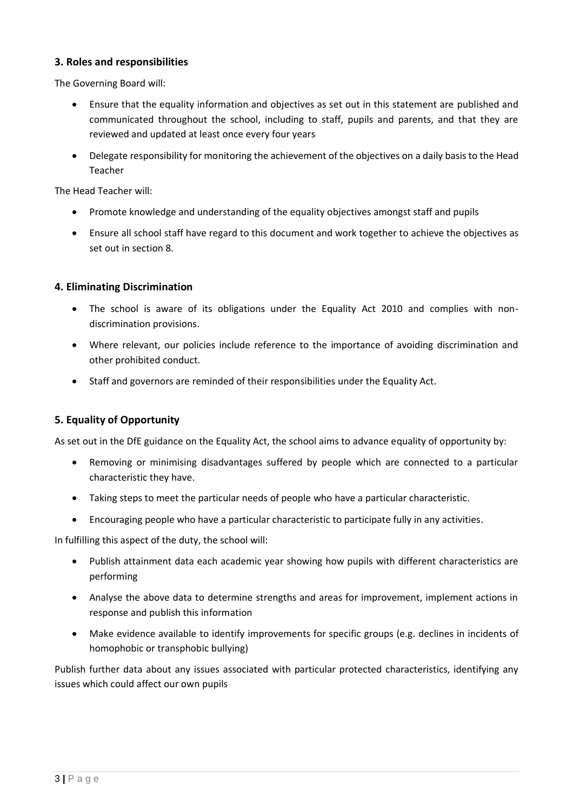#### **3. Roles and responsibilities**

The Governing Board will:

- Ensure that the equality information and objectives as set out in this statement are published and communicated throughout the school, including to staff, pupils and parents, and that they are reviewed and updated at least once every four years
- Delegate responsibility for monitoring the achievement of the objectives on a daily basis to the Head Teacher

The Head Teacher will:

- Promote knowledge and understanding of the equality objectives amongst staff and pupils
- Ensure all school staff have regard to this document and work together to achieve the objectives as set out in section 8.

#### **4. Eliminating Discrimination**

- The school is aware of its obligations under the Equality Act 2010 and complies with nondiscrimination provisions.
- Where relevant, our policies include reference to the importance of avoiding discrimination and other prohibited conduct.
- Staff and governors are reminded of their responsibilities under the Equality Act.

#### **5. Equality of Opportunity**

As set out in the DfE guidance on the Equality Act, the school aims to advance equality of opportunity by:

- Removing or minimising disadvantages suffered by people which are connected to a particular characteristic they have.
- Taking steps to meet the particular needs of people who have a particular characteristic.
- Encouraging people who have a particular characteristic to participate fully in any activities.

In fulfilling this aspect of the duty, the school will:

- Publish attainment data each academic year showing how pupils with different characteristics are performing
- Analyse the above data to determine strengths and areas for improvement, implement actions in response and publish this information
- Make evidence available to identify improvements for specific groups (e.g. declines in incidents of homophobic or transphobic bullying)

Publish further data about any issues associated with particular protected characteristics, identifying any issues which could affect our own pupils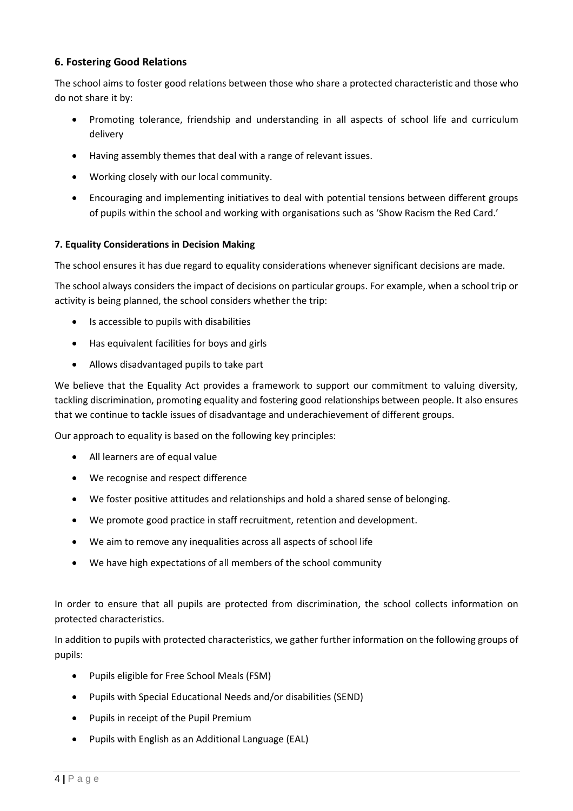#### **6. Fostering Good Relations**

The school aims to foster good relations between those who share a protected characteristic and those who do not share it by:

- Promoting tolerance, friendship and understanding in all aspects of school life and curriculum delivery
- Having assembly themes that deal with a range of relevant issues.
- Working closely with our local community.
- Encouraging and implementing initiatives to deal with potential tensions between different groups of pupils within the school and working with organisations such as 'Show Racism the Red Card.'

#### **7. Equality Considerations in Decision Making**

The school ensures it has due regard to equality considerations whenever significant decisions are made.

The school always considers the impact of decisions on particular groups. For example, when a school trip or activity is being planned, the school considers whether the trip:

- Is accessible to pupils with disabilities
- Has equivalent facilities for boys and girls
- Allows disadvantaged pupils to take part

We believe that the Equality Act provides a framework to support our commitment to valuing diversity, tackling discrimination, promoting equality and fostering good relationships between people. It also ensures that we continue to tackle issues of disadvantage and underachievement of different groups.

Our approach to equality is based on the following key principles:

- All learners are of equal value
- We recognise and respect difference
- We foster positive attitudes and relationships and hold a shared sense of belonging.
- We promote good practice in staff recruitment, retention and development.
- We aim to remove any inequalities across all aspects of school life
- We have high expectations of all members of the school community

In order to ensure that all pupils are protected from discrimination, the school collects information on protected characteristics.

In addition to pupils with protected characteristics, we gather further information on the following groups of pupils:

- Pupils eligible for Free School Meals (FSM)
- Pupils with Special Educational Needs and/or disabilities (SEND)
- Pupils in receipt of the Pupil Premium
- Pupils with English as an Additional Language (EAL)